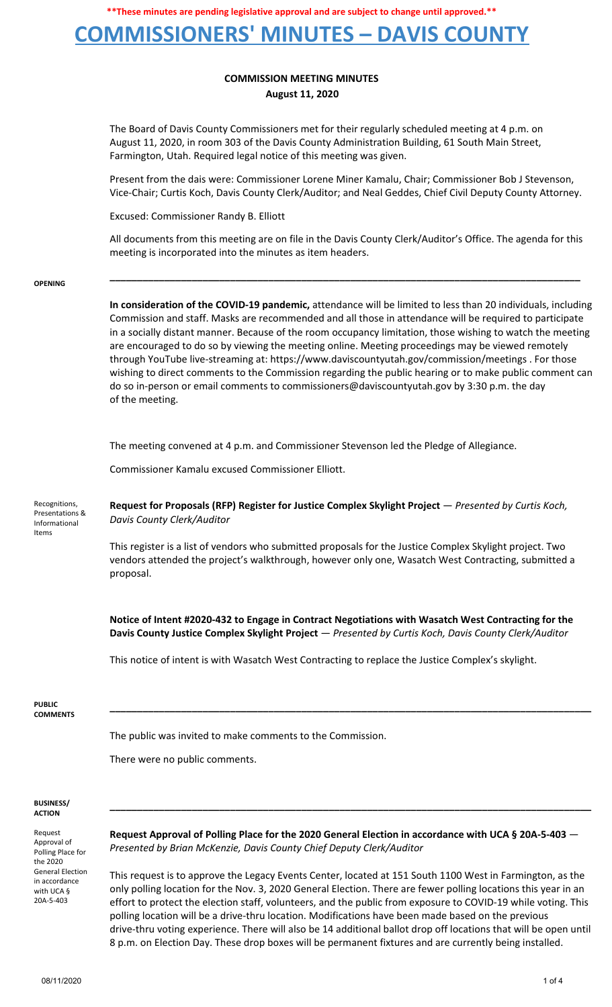## **COMMISSIONERS' MINUTES – DAVIS COUNTY**

### **COMMISSION MEETING MINUTES August 11, 2020**

The Board of Davis County Commissioners met for their regularly scheduled meeting at 4 p.m. on August 11, 2020, in room 303 of the Davis County Administration Building, 61 South Main Street, Farmington, Utah. Required legal notice of this meeting was given.

Present from the dais were: Commissioner Lorene Miner Kamalu, Chair; Commissioner Bob J Stevenson, Vice-Chair; Curtis Koch, Davis County Clerk/Auditor; and Neal Geddes, Chief Civil Deputy County Attorney.

Excused: Commissioner Randy B. Elliott

All documents from this meeting are on file in the Davis County Clerk/Auditor's Office. The agenda for this meeting is incorporated into the minutes as item headers.

**\_\_\_\_\_\_\_\_\_\_\_\_\_\_\_\_\_\_\_\_\_\_\_\_\_\_\_\_\_\_\_\_\_\_\_\_\_\_\_\_\_\_\_\_\_\_\_\_\_\_\_\_\_\_\_\_\_\_\_\_\_\_\_\_\_\_\_\_\_\_\_\_\_\_\_\_\_\_\_\_\_\_\_\_\_\_**

#### **OPENING**

**In consideration of the COVID-19 pandemic,** attendance will be limited to less than 20 individuals, including Commission and staff. Masks are recommended and all those in attendance will be required to participate in a socially distant manner. Because of the room occupancy limitation, those wishing to watch the meeting are encouraged to do so by viewing the meeting online. Meeting proceedings may be viewed remotely through YouTube live-streaming at: https://www.daviscountyutah.gov/commission/meetings . For those wishing to direct comments to the Commission regarding the public hearing or to make public comment can do so in-person or email comments to commissioners@daviscountyutah.gov by 3:30 p.m. the day of the meeting.

The meeting convened at 4 p.m. and Commissioner Stevenson led the Pledge of Allegiance.

Commissioner Kamalu excused Commissioner Elliott.

Recognitions, Presentations & Informational Items

**Request for Proposals (RFP) Register for Justice Complex Skylight Project** — *Presented by Curtis Koch, Davis County Clerk/Auditor*

This register is a list of vendors who submitted proposals for the Justice Complex Skylight project. Two vendors attended the project's walkthrough, however only one, Wasatch West Contracting, submitted a proposal.

**Notice of Intent #2020-432 to Engage in Contract Negotiations with Wasatch West Contracting for the Davis County Justice Complex Skylight Project** — *Presented by Curtis Koch, Davis County Clerk/Auditor*

**\_\_\_\_\_\_\_\_\_\_\_\_\_\_\_\_\_\_\_\_\_\_\_\_\_\_\_\_\_\_\_\_\_\_\_\_\_\_\_\_\_\_\_\_\_\_\_\_\_\_\_\_\_\_\_\_\_\_\_\_\_\_\_\_\_\_\_\_\_\_\_\_\_\_\_\_\_\_\_\_\_\_\_\_\_\_\_\_**

This notice of intent is with Wasatch West Contracting to replace the Justice Complex's skylight.

**PUBLIC COMMENTS**

The public was invited to make comments to the Commission.

There were no public comments.

#### **BUSINESS/ ACTION**

Request Approval of Polling Place for the 2020 General Election in accordance with **UCA &** 20A-5-403

**Request Approval of Polling Place for the 2020 General Election in accordance with UCA § 20A-5-403** — *Presented by Brian McKenzie, Davis County Chief Deputy Clerk/Auditor*

**\_\_\_\_\_\_\_\_\_\_\_\_\_\_\_\_\_\_\_\_\_\_\_\_\_\_\_\_\_\_\_\_\_\_\_\_\_\_\_\_\_\_\_\_\_\_\_\_\_\_\_\_\_\_\_\_\_\_\_\_\_\_\_\_\_\_\_\_\_\_\_\_\_\_\_\_\_\_\_\_\_\_\_\_\_\_\_\_**

This request is to approve the Legacy Events Center, located at 151 South 1100 West in Farmington, as the only polling location for the Nov. 3, 2020 General Election. There are fewer polling locations this year in an effort to protect the election staff, volunteers, and the public from exposure to COVID-19 while voting. This polling location will be a drive-thru location. Modifications have been made based on the previous drive-thru voting experience. There will also be 14 additional ballot drop off locations that will be open until 8 p.m. on Election Day. These drop boxes will be permanent fixtures and are currently being installed.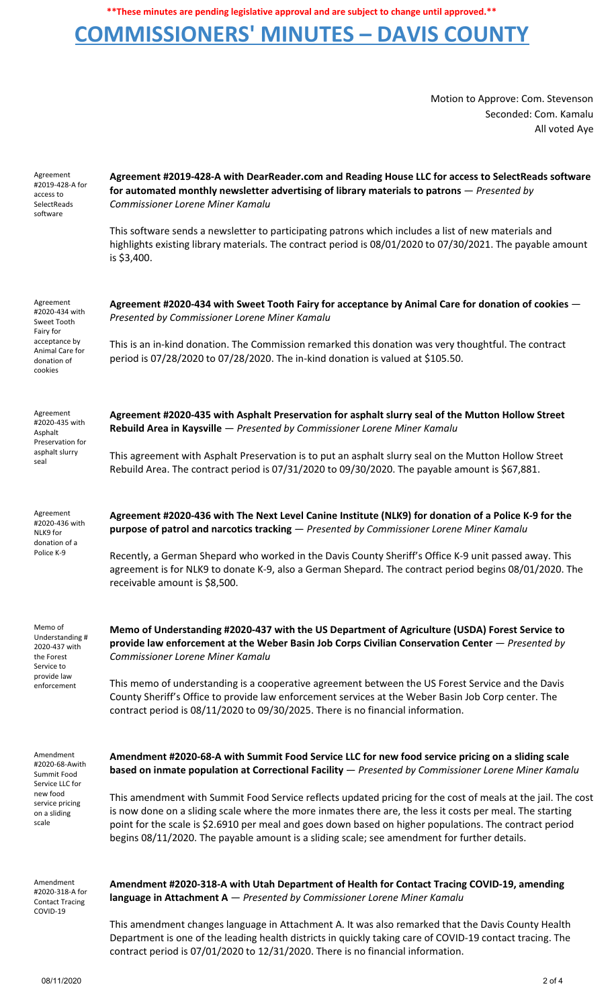# **COMMISSIONERS' MINUTES – DAVIS COUNTY**

Motion to Approve: Com. Stevenson Seconded: Com. Kamalu All voted Aye

| Agreement<br>#2019-428-A for<br>access to<br>SelectReads<br>software                                                  | Agreement #2019-428-A with DearReader.com and Reading House LLC for access to SelectReads software<br>for automated monthly newsletter advertising of library materials to patrons - Presented by<br>Commissioner Lorene Miner Kamalu                                                                                                                                                                                                |
|-----------------------------------------------------------------------------------------------------------------------|--------------------------------------------------------------------------------------------------------------------------------------------------------------------------------------------------------------------------------------------------------------------------------------------------------------------------------------------------------------------------------------------------------------------------------------|
|                                                                                                                       | This software sends a newsletter to participating patrons which includes a list of new materials and<br>highlights existing library materials. The contract period is 08/01/2020 to 07/30/2021. The payable amount<br>is \$3,400.                                                                                                                                                                                                    |
| Agreement<br>#2020-434 with<br>Sweet Tooth<br>Fairy for<br>acceptance by<br>Animal Care for<br>donation of<br>cookies | Agreement #2020-434 with Sweet Tooth Fairy for acceptance by Animal Care for donation of cookies -<br>Presented by Commissioner Lorene Miner Kamalu                                                                                                                                                                                                                                                                                  |
|                                                                                                                       | This is an in-kind donation. The Commission remarked this donation was very thoughtful. The contract<br>period is 07/28/2020 to 07/28/2020. The in-kind donation is valued at \$105.50.                                                                                                                                                                                                                                              |
| Agreement<br>#2020-435 with<br>Asphalt<br>Preservation for<br>asphalt slurry<br>seal                                  | Agreement #2020-435 with Asphalt Preservation for asphalt slurry seal of the Mutton Hollow Street<br>Rebuild Area in Kaysville - Presented by Commissioner Lorene Miner Kamalu                                                                                                                                                                                                                                                       |
|                                                                                                                       | This agreement with Asphalt Preservation is to put an asphalt slurry seal on the Mutton Hollow Street<br>Rebuild Area. The contract period is 07/31/2020 to 09/30/2020. The payable amount is \$67,881.                                                                                                                                                                                                                              |
| Agreement<br>#2020-436 with<br>NLK9 for<br>donation of a<br>Police K-9                                                | Agreement #2020-436 with The Next Level Canine Institute (NLK9) for donation of a Police K-9 for the<br>purpose of patrol and narcotics tracking - Presented by Commissioner Lorene Miner Kamalu                                                                                                                                                                                                                                     |
|                                                                                                                       | Recently, a German Shepard who worked in the Davis County Sheriff's Office K-9 unit passed away. This<br>agreement is for NLK9 to donate K-9, also a German Shepard. The contract period begins 08/01/2020. The<br>receivable amount is \$8,500.                                                                                                                                                                                     |
| Memo of<br>Understanding #<br>2020-437 with<br>the Forest<br>Service to<br>provide law<br>enforcement                 | Memo of Understanding #2020-437 with the US Department of Agriculture (USDA) Forest Service to<br>provide law enforcement at the Weber Basin Job Corps Civilian Conservation Center $-$ Presented by<br><b>Commissioner Lorene Miner Kamalu</b>                                                                                                                                                                                      |
|                                                                                                                       | This memo of understanding is a cooperative agreement between the US Forest Service and the Davis<br>County Sheriff's Office to provide law enforcement services at the Weber Basin Job Corp center. The<br>contract period is 08/11/2020 to 09/30/2025. There is no financial information.                                                                                                                                          |
| Amendment<br>#2020-68-Awith<br>Summit Food<br>Service LLC for<br>new food<br>service pricing<br>on a sliding<br>scale | Amendment #2020-68-A with Summit Food Service LLC for new food service pricing on a sliding scale<br>based on inmate population at Correctional Facility - Presented by Commissioner Lorene Miner Kamalu                                                                                                                                                                                                                             |
|                                                                                                                       | This amendment with Summit Food Service reflects updated pricing for the cost of meals at the jail. The cost<br>is now done on a sliding scale where the more inmates there are, the less it costs per meal. The starting<br>point for the scale is \$2.6910 per meal and goes down based on higher populations. The contract period<br>begins 08/11/2020. The payable amount is a sliding scale; see amendment for further details. |
| Amendment<br>#2020-318-A for<br><b>Contact Tracing</b><br>COVID-19                                                    | Amendment #2020-318-A with Utah Department of Health for Contact Tracing COVID-19, amending<br>language in Attachment $A$ – Presented by Commissioner Lorene Miner Kamalu                                                                                                                                                                                                                                                            |
|                                                                                                                       | This amendment changes language in Attachment A. It was also remarked that the Davis County Health<br>Department is one of the leading health districts in quickly taking care of COVID-19 contact tracing. The<br>contract period is 07/01/2020 to 12/31/2020. There is no financial information.                                                                                                                                   |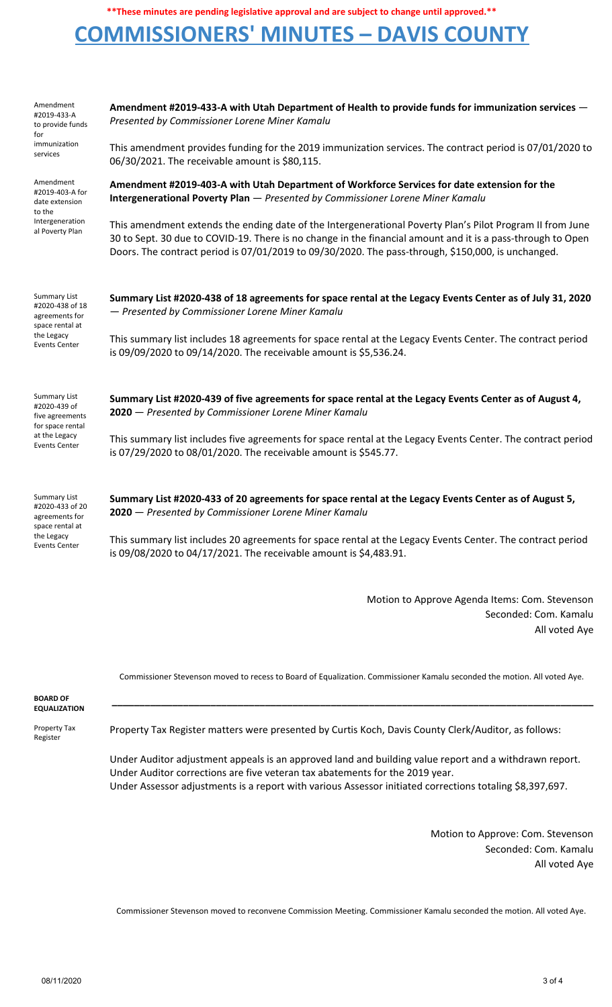## **COMMISSIONERS' MINUTES – DAVIS COUNTY**

| Amendment<br>#2019-433-A<br>to provide funds<br>for<br>immunization<br>services                                     | Amendment #2019-433-A with Utah Department of Health to provide funds for immunization services -<br>Presented by Commissioner Lorene Miner Kamalu                                                                                                                                                                             |
|---------------------------------------------------------------------------------------------------------------------|--------------------------------------------------------------------------------------------------------------------------------------------------------------------------------------------------------------------------------------------------------------------------------------------------------------------------------|
|                                                                                                                     | This amendment provides funding for the 2019 immunization services. The contract period is 07/01/2020 to<br>06/30/2021. The receivable amount is \$80,115.                                                                                                                                                                     |
| Amendment<br>#2019-403-A for<br>date extension<br>to the<br>Intergeneration<br>al Poverty Plan                      | Amendment #2019-403-A with Utah Department of Workforce Services for date extension for the<br>Intergenerational Poverty Plan - Presented by Commissioner Lorene Miner Kamalu                                                                                                                                                  |
|                                                                                                                     | This amendment extends the ending date of the Intergenerational Poverty Plan's Pilot Program II from June<br>30 to Sept. 30 due to COVID-19. There is no change in the financial amount and it is a pass-through to Open<br>Doors. The contract period is 07/01/2019 to 09/30/2020. The pass-through, \$150,000, is unchanged. |
| <b>Summary List</b><br>#2020-438 of 18<br>agreements for<br>space rental at<br>the Legacy<br><b>Events Center</b>   | Summary List #2020-438 of 18 agreements for space rental at the Legacy Events Center as of July 31, 2020<br>- Presented by Commissioner Lorene Miner Kamalu                                                                                                                                                                    |
|                                                                                                                     | This summary list includes 18 agreements for space rental at the Legacy Events Center. The contract period<br>is 09/09/2020 to 09/14/2020. The receivable amount is \$5,536.24.                                                                                                                                                |
| <b>Summary List</b><br>#2020-439 of<br>five agreements<br>for space rental<br>at the Legacy<br><b>Events Center</b> | Summary List #2020-439 of five agreements for space rental at the Legacy Events Center as of August 4,<br>2020 - Presented by Commissioner Lorene Miner Kamalu                                                                                                                                                                 |
|                                                                                                                     | This summary list includes five agreements for space rental at the Legacy Events Center. The contract period<br>is 07/29/2020 to 08/01/2020. The receivable amount is \$545.77.                                                                                                                                                |
| <b>Summary List</b><br>#2020-433 of 20<br>agreements for<br>space rental at<br>the Legacy<br><b>Events Center</b>   | Summary List #2020-433 of 20 agreements for space rental at the Legacy Events Center as of August 5,<br>2020 - Presented by Commissioner Lorene Miner Kamalu                                                                                                                                                                   |
|                                                                                                                     | This summary list includes 20 agreements for space rental at the Legacy Events Center. The contract period<br>is 09/08/2020 to 04/17/2021. The receivable amount is \$4,483.91.                                                                                                                                                |

Motion to Approve Agenda Items: Com. Stevenson Seconded: Com. Kamalu All voted Aye

Commissioner Stevenson moved to recess to Board of Equalization. Commissioner Kamalu seconded the motion. All voted Aye.

**\_\_\_\_\_\_\_\_\_\_\_\_\_\_\_\_\_\_\_\_\_\_\_\_\_\_\_\_\_\_\_\_\_\_\_\_\_\_\_\_\_\_\_\_\_\_\_\_\_\_\_\_\_\_\_\_\_\_\_\_\_\_\_\_\_\_\_\_\_\_\_\_\_\_\_\_\_\_\_\_\_\_\_\_\_\_\_\_**

**BOARD OF EQUALIZATION**

Property Tax Register

Property Tax Register matters were presented by Curtis Koch, Davis County Clerk/Auditor, as follows:

Under Auditor adjustment appeals is an approved land and building value report and a withdrawn report. Under Auditor corrections are five veteran tax abatements for the 2019 year. Under Assessor adjustments is a report with various Assessor initiated corrections totaling \$8,397,697.

> Motion to Approve: Com. Stevenson Seconded: Com. Kamalu All voted Aye

Commissioner Stevenson moved to reconvene Commission Meeting. Commissioner Kamalu seconded the motion. All voted Aye.